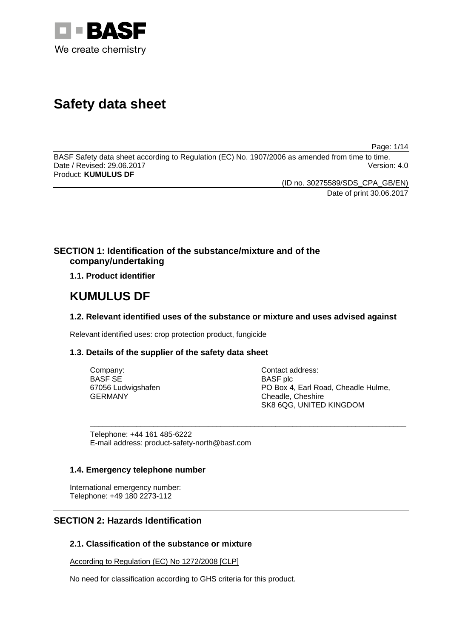

# **Safety data sheet**

Page: 1/14

BASF Safety data sheet according to Regulation (EC) No. 1907/2006 as amended from time to time. Date / Revised: 29.06.2017 Version: 4.0 Product: **KUMULUS DF** 

(ID no. 30275589/SDS\_CPA\_GB/EN)

Date of print 30.06.2017

# **SECTION 1: Identification of the substance/mixture and of the company/undertaking**

**1.1. Product identifier**

# **KUMULUS DF**

# **1.2. Relevant identified uses of the substance or mixture and uses advised against**

\_\_\_\_\_\_\_\_\_\_\_\_\_\_\_\_\_\_\_\_\_\_\_\_\_\_\_\_\_\_\_\_\_\_\_\_\_\_\_\_\_\_\_\_\_\_\_\_\_\_\_\_\_\_\_\_\_\_\_\_\_\_\_\_\_\_\_\_\_\_\_\_\_\_\_

Relevant identified uses: crop protection product, fungicide

# **1.3. Details of the supplier of the safety data sheet**

| Company:           |
|--------------------|
| <b>BASF SE</b>     |
| 67056 Ludwigshafen |
| <b>GERMANY</b>     |

Contact address: BASF plc PO Box 4, Earl Road, Cheadle Hulme, Cheadle, Cheshire SK8 6QG, UNITED KINGDOM

Telephone: +44 161 485-6222 E-mail address: product-safety-north@basf.com

# **1.4. Emergency telephone number**

International emergency number: Telephone: +49 180 2273-112

# **SECTION 2: Hazards Identification**

# **2.1. Classification of the substance or mixture**

According to Regulation (EC) No 1272/2008 [CLP]

No need for classification according to GHS criteria for this product.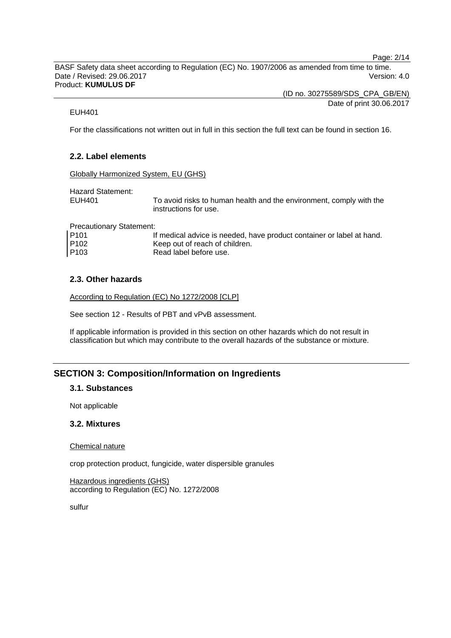Page: 2/14

BASF Safety data sheet according to Regulation (EC) No. 1907/2006 as amended from time to time. Date / Revised: 29.06.2017 Version: 4.0 Product: **KUMULUS DF** 

(ID no. 30275589/SDS\_CPA\_GB/EN)

Date of print 30.06.2017

# EUH401

For the classifications not written out in full in this section the full text can be found in section 16.

# **2.2. Label elements**

Globally Harmonized System, EU (GHS)

Hazard Statement:

EUH401 To avoid risks to human health and the environment, comply with the instructions for use.

Precautionary Statement:

| P <sub>101</sub> | If medical advice is needed, have product container or label at hand. |
|------------------|-----------------------------------------------------------------------|
| P <sub>102</sub> | Keep out of reach of children.                                        |
| P <sub>103</sub> | Read label before use.                                                |

# **2.3. Other hazards**

According to Regulation (EC) No 1272/2008 [CLP]

See section 12 - Results of PBT and vPvB assessment.

If applicable information is provided in this section on other hazards which do not result in classification but which may contribute to the overall hazards of the substance or mixture.

# **SECTION 3: Composition/Information on Ingredients**

# **3.1. Substances**

Not applicable

### **3.2. Mixtures**

### Chemical nature

crop protection product, fungicide, water dispersible granules

Hazardous ingredients (GHS) according to Regulation (EC) No. 1272/2008

sulfur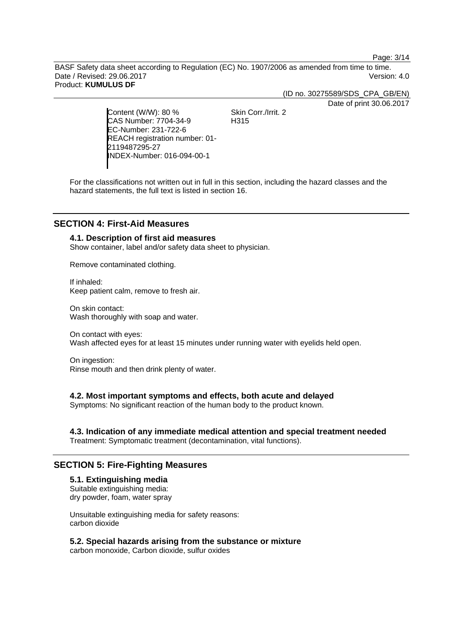Page: 3/14

BASF Safety data sheet according to Regulation (EC) No. 1907/2006 as amended from time to time. Date / Revised: 29.06.2017 Version: 4.0 Product: **KUMULUS DF** 

(ID no. 30275589/SDS\_CPA\_GB/EN)

Date of print 30.06.2017

Content (W/W): 80 % CAS Number: 7704-34-9 EC-Number: 231-722-6 REACH registration number: 01- 2119487295-27 INDEX-Number: 016-094-00-1

Skin Corr./Irrit. 2 H315

For the classifications not written out in full in this section, including the hazard classes and the hazard statements, the full text is listed in section 16.

# **SECTION 4: First-Aid Measures**

# **4.1. Description of first aid measures**

Show container, label and/or safety data sheet to physician.

Remove contaminated clothing.

If inhaled: Keep patient calm, remove to fresh air.

On skin contact: Wash thoroughly with soap and water.

On contact with eyes: Wash affected eyes for at least 15 minutes under running water with eyelids held open.

On ingestion: Rinse mouth and then drink plenty of water.

# **4.2. Most important symptoms and effects, both acute and delayed**

Symptoms: No significant reaction of the human body to the product known.

# **4.3. Indication of any immediate medical attention and special treatment needed**

Treatment: Symptomatic treatment (decontamination, vital functions).

# **SECTION 5: Fire-Fighting Measures**

# **5.1. Extinguishing media**  Suitable extinguishing media:

dry powder, foam, water spray

Unsuitable extinguishing media for safety reasons: carbon dioxide

# **5.2. Special hazards arising from the substance or mixture**

carbon monoxide, Carbon dioxide, sulfur oxides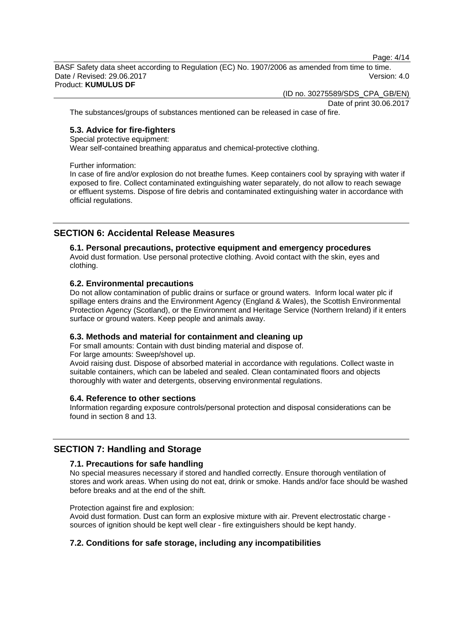Page: 4/14

BASF Safety data sheet according to Regulation (EC) No. 1907/2006 as amended from time to time. Date / Revised: 29.06.2017 **Version: 4.0** Product: **KUMULUS DF** 

(ID no. 30275589/SDS\_CPA\_GB/EN)

Date of print 30.06.2017

The substances/groups of substances mentioned can be released in case of fire.

### **5.3. Advice for fire-fighters**

Special protective equipment:

Wear self-contained breathing apparatus and chemical-protective clothing.

Further information:

In case of fire and/or explosion do not breathe fumes. Keep containers cool by spraying with water if exposed to fire. Collect contaminated extinguishing water separately, do not allow to reach sewage or effluent systems. Dispose of fire debris and contaminated extinguishing water in accordance with official regulations.

# **SECTION 6: Accidental Release Measures**

# **6.1. Personal precautions, protective equipment and emergency procedures**

Avoid dust formation. Use personal protective clothing. Avoid contact with the skin, eyes and clothing.

### **6.2. Environmental precautions**

Do not allow contamination of public drains or surface or ground waters. Inform local water plc if spillage enters drains and the Environment Agency (England & Wales), the Scottish Environmental Protection Agency (Scotland), or the Environment and Heritage Service (Northern Ireland) if it enters surface or ground waters. Keep people and animals away.

# **6.3. Methods and material for containment and cleaning up**

For small amounts: Contain with dust binding material and dispose of.

For large amounts: Sweep/shovel up.

Avoid raising dust. Dispose of absorbed material in accordance with regulations. Collect waste in suitable containers, which can be labeled and sealed. Clean contaminated floors and objects thoroughly with water and detergents, observing environmental regulations.

### **6.4. Reference to other sections**

Information regarding exposure controls/personal protection and disposal considerations can be found in section 8 and 13.

# **SECTION 7: Handling and Storage**

### **7.1. Precautions for safe handling**

No special measures necessary if stored and handled correctly. Ensure thorough ventilation of stores and work areas. When using do not eat, drink or smoke. Hands and/or face should be washed before breaks and at the end of the shift.

Protection against fire and explosion:

Avoid dust formation. Dust can form an explosive mixture with air. Prevent electrostatic charge sources of ignition should be kept well clear - fire extinguishers should be kept handy.

# **7.2. Conditions for safe storage, including any incompatibilities**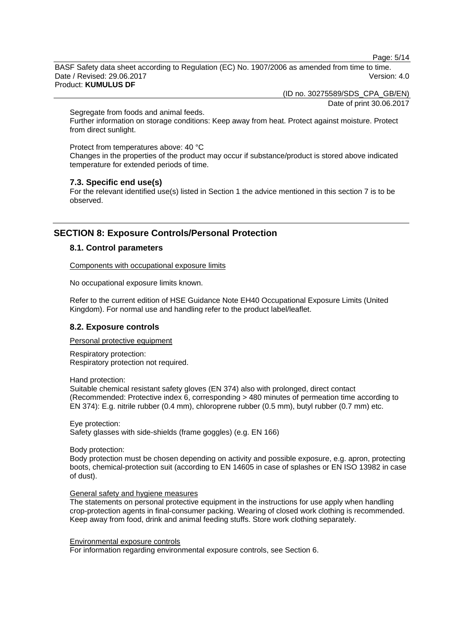Page: 5/14

BASF Safety data sheet according to Regulation (EC) No. 1907/2006 as amended from time to time. Date / Revised: 29.06.2017 **Version: 4.0** Product: **KUMULUS DF** 

(ID no. 30275589/SDS\_CPA\_GB/EN)

Date of print 30.06.2017

Segregate from foods and animal feeds.

Further information on storage conditions: Keep away from heat. Protect against moisture. Protect from direct sunlight.

Protect from temperatures above: 40 °C

Changes in the properties of the product may occur if substance/product is stored above indicated temperature for extended periods of time.

### **7.3. Specific end use(s)**

For the relevant identified use(s) listed in Section 1 the advice mentioned in this section 7 is to be observed.

# **SECTION 8: Exposure Controls/Personal Protection**

### **8.1. Control parameters**

Components with occupational exposure limits

No occupational exposure limits known.

Refer to the current edition of HSE Guidance Note EH40 Occupational Exposure Limits (United Kingdom). For normal use and handling refer to the product label/leaflet.

### **8.2. Exposure controls**

Personal protective equipment

Respiratory protection: Respiratory protection not required.

Hand protection:

Suitable chemical resistant safety gloves (EN 374) also with prolonged, direct contact (Recommended: Protective index 6, corresponding > 480 minutes of permeation time according to EN 374): E.g. nitrile rubber (0.4 mm), chloroprene rubber (0.5 mm), butyl rubber (0.7 mm) etc.

Eye protection: Safety glasses with side-shields (frame goggles) (e.g. EN 166)

Body protection:

Body protection must be chosen depending on activity and possible exposure, e.g. apron, protecting boots, chemical-protection suit (according to EN 14605 in case of splashes or EN ISO 13982 in case of dust).

### General safety and hygiene measures

The statements on personal protective equipment in the instructions for use apply when handling crop-protection agents in final-consumer packing. Wearing of closed work clothing is recommended. Keep away from food, drink and animal feeding stuffs. Store work clothing separately.

Environmental exposure controls

For information regarding environmental exposure controls, see Section 6.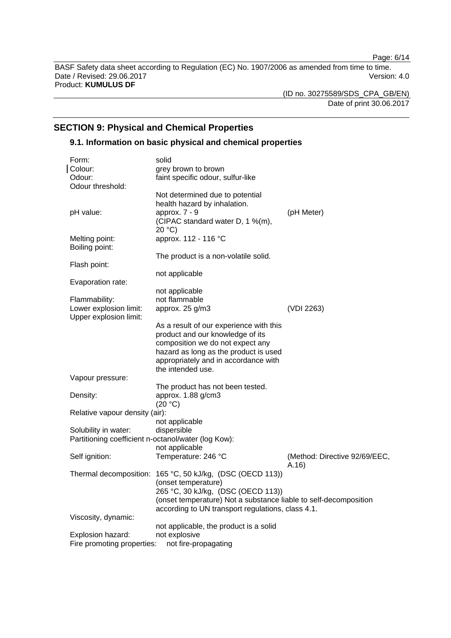Page: 6/14

BASF Safety data sheet according to Regulation (EC) No. 1907/2006 as amended from time to time. Date / Revised: 29.06.2017 Version: 4.0 Product: **KUMULUS DF** 

(ID no. 30275589/SDS\_CPA\_GB/EN)

Date of print 30.06.2017

# **SECTION 9: Physical and Chemical Properties**

# **9.1. Information on basic physical and chemical properties**

| Form:                                               | solid                                                                                                                |                                        |
|-----------------------------------------------------|----------------------------------------------------------------------------------------------------------------------|----------------------------------------|
| Colour:                                             | grey brown to brown                                                                                                  |                                        |
| Odour:                                              | faint specific odour, sulfur-like                                                                                    |                                        |
| Odour threshold:                                    |                                                                                                                      |                                        |
| pH value:                                           | Not determined due to potential<br>health hazard by inhalation.<br>approx. 7 - 9<br>(CIPAC standard water D, 1 %(m), | (pH Meter)                             |
|                                                     | 20 °C                                                                                                                |                                        |
| Melting point:<br>Boiling point:                    | approx. 112 - 116 °C                                                                                                 |                                        |
|                                                     | The product is a non-volatile solid.                                                                                 |                                        |
| Flash point:                                        |                                                                                                                      |                                        |
|                                                     | not applicable                                                                                                       |                                        |
| Evaporation rate:                                   |                                                                                                                      |                                        |
|                                                     | not applicable                                                                                                       |                                        |
| Flammability:                                       | not flammable                                                                                                        |                                        |
| Lower explosion limit:                              | approx. 25 g/m3                                                                                                      | (VDI 2263)                             |
| Upper explosion limit:                              |                                                                                                                      |                                        |
|                                                     | As a result of our experience with this                                                                              |                                        |
|                                                     | product and our knowledge of its                                                                                     |                                        |
|                                                     | composition we do not expect any                                                                                     |                                        |
|                                                     | hazard as long as the product is used                                                                                |                                        |
|                                                     | appropriately and in accordance with<br>the intended use.                                                            |                                        |
| Vapour pressure:                                    |                                                                                                                      |                                        |
|                                                     | The product has not been tested.                                                                                     |                                        |
| Density:                                            | approx. 1.88 g/cm3<br>(20 °C)                                                                                        |                                        |
| Relative vapour density (air):                      |                                                                                                                      |                                        |
|                                                     | not applicable                                                                                                       |                                        |
| Solubility in water:                                | dispersible                                                                                                          |                                        |
| Partitioning coefficient n-octanol/water (log Kow): |                                                                                                                      |                                        |
|                                                     | not applicable                                                                                                       |                                        |
| Self ignition:                                      | Temperature: 246 °C                                                                                                  | (Method: Directive 92/69/EEC,<br>A.16) |
|                                                     | Thermal decomposition: 165 °C, 50 kJ/kg, (DSC (OECD 113))                                                            |                                        |
|                                                     | (onset temperature)                                                                                                  |                                        |
|                                                     | 265 °C, 30 kJ/kg, (DSC (OECD 113))                                                                                   |                                        |
|                                                     | (onset temperature) Not a substance liable to self-decomposition                                                     |                                        |
|                                                     | according to UN transport regulations, class 4.1.                                                                    |                                        |
| Viscosity, dynamic:                                 |                                                                                                                      |                                        |
|                                                     | not applicable, the product is a solid                                                                               |                                        |
| Explosion hazard:                                   | not explosive                                                                                                        |                                        |
| Fire promoting properties:                          | not fire-propagating                                                                                                 |                                        |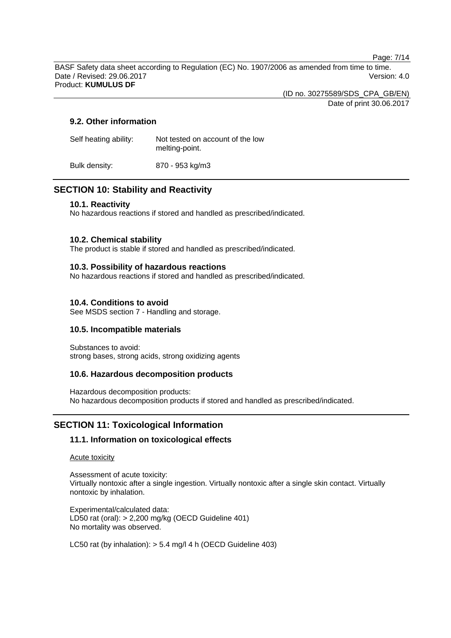Page: 7/14

BASF Safety data sheet according to Regulation (EC) No. 1907/2006 as amended from time to time. Date / Revised: 29.06.2017 Version: 4.0 Product: **KUMULUS DF** 

(ID no. 30275589/SDS\_CPA\_GB/EN)

Date of print 30.06.2017

# **9.2. Other information**

| Self heating ability: | Not tested on account of the low<br>melting-point. |
|-----------------------|----------------------------------------------------|
| Bulk density:         | 870 - 953 kg/m3                                    |

# **SECTION 10: Stability and Reactivity**

# **10.1. Reactivity**

No hazardous reactions if stored and handled as prescribed/indicated.

# **10.2. Chemical stability**

The product is stable if stored and handled as prescribed/indicated.

# **10.3. Possibility of hazardous reactions**

No hazardous reactions if stored and handled as prescribed/indicated.

# **10.4. Conditions to avoid**

See MSDS section 7 - Handling and storage.

# **10.5. Incompatible materials**

Substances to avoid: strong bases, strong acids, strong oxidizing agents

# **10.6. Hazardous decomposition products**

Hazardous decomposition products: No hazardous decomposition products if stored and handled as prescribed/indicated.

# **SECTION 11: Toxicological Information**

# **11.1. Information on toxicological effects**

Acute toxicity

Assessment of acute toxicity: Virtually nontoxic after a single ingestion. Virtually nontoxic after a single skin contact. Virtually nontoxic by inhalation.

Experimental/calculated data: LD50 rat (oral): > 2,200 mg/kg (OECD Guideline 401) No mortality was observed.

LC50 rat (by inhalation): > 5.4 mg/l 4 h (OECD Guideline 403)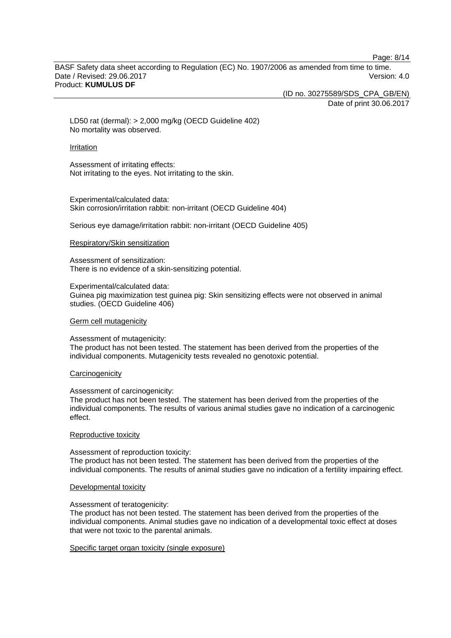Page: 8/14

BASF Safety data sheet according to Regulation (EC) No. 1907/2006 as amended from time to time. Date / Revised: 29.06.2017 **Version: 4.0** Product: **KUMULUS DF** 

(ID no. 30275589/SDS\_CPA\_GB/EN)

Date of print 30.06.2017

LD50 rat (dermal): > 2,000 mg/kg (OECD Guideline 402) No mortality was observed.

#### Irritation

Assessment of irritating effects: Not irritating to the eyes. Not irritating to the skin.

Experimental/calculated data: Skin corrosion/irritation rabbit: non-irritant (OECD Guideline 404)

Serious eye damage/irritation rabbit: non-irritant (OECD Guideline 405)

#### Respiratory/Skin sensitization

Assessment of sensitization: There is no evidence of a skin-sensitizing potential.

#### Experimental/calculated data:

Guinea pig maximization test guinea pig: Skin sensitizing effects were not observed in animal studies. (OECD Guideline 406)

#### Germ cell mutagenicity

#### Assessment of mutagenicity:

The product has not been tested. The statement has been derived from the properties of the individual components. Mutagenicity tests revealed no genotoxic potential.

#### **Carcinogenicity**

### Assessment of carcinogenicity:

The product has not been tested. The statement has been derived from the properties of the individual components. The results of various animal studies gave no indication of a carcinogenic effect.

#### Reproductive toxicity

### Assessment of reproduction toxicity:

The product has not been tested. The statement has been derived from the properties of the individual components. The results of animal studies gave no indication of a fertility impairing effect.

#### Developmental toxicity

#### Assessment of teratogenicity:

The product has not been tested. The statement has been derived from the properties of the individual components. Animal studies gave no indication of a developmental toxic effect at doses that were not toxic to the parental animals.

### Specific target organ toxicity (single exposure)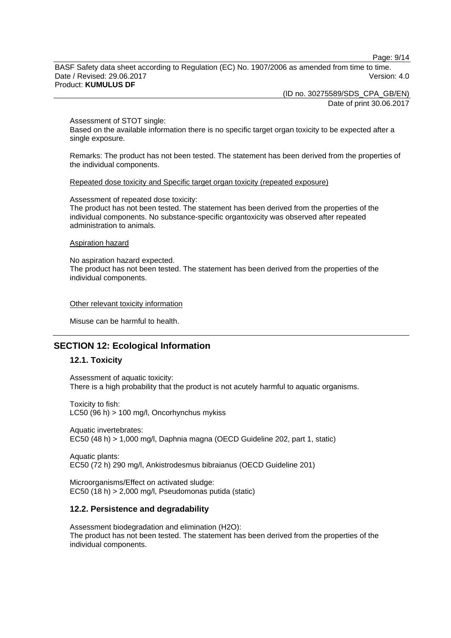Page: 9/14

BASF Safety data sheet according to Regulation (EC) No. 1907/2006 as amended from time to time. Date / Revised: 29.06.2017 **Version: 4.0** Product: **KUMULUS DF** 

(ID no. 30275589/SDS\_CPA\_GB/EN)

Date of print 30.06.2017

Assessment of STOT single:

Based on the available information there is no specific target organ toxicity to be expected after a single exposure.

Remarks: The product has not been tested. The statement has been derived from the properties of the individual components.

Repeated dose toxicity and Specific target organ toxicity (repeated exposure)

Assessment of repeated dose toxicity:

The product has not been tested. The statement has been derived from the properties of the individual components. No substance-specific organtoxicity was observed after repeated administration to animals.

#### Aspiration hazard

No aspiration hazard expected. The product has not been tested. The statement has been derived from the properties of the individual components.

Other relevant toxicity information

Misuse can be harmful to health.

# **SECTION 12: Ecological Information**

### **12.1. Toxicity**

Assessment of aquatic toxicity: There is a high probability that the product is not acutely harmful to aquatic organisms.

Toxicity to fish: LC50 (96 h) > 100 mg/l, Oncorhynchus mykiss

Aquatic invertebrates: EC50 (48 h) > 1,000 mg/l, Daphnia magna (OECD Guideline 202, part 1, static)

Aquatic plants: EC50 (72 h) 290 mg/l, Ankistrodesmus bibraianus (OECD Guideline 201)

Microorganisms/Effect on activated sludge: EC50 (18 h) > 2,000 mg/l, Pseudomonas putida (static)

### **12.2. Persistence and degradability**

Assessment biodegradation and elimination (H2O): The product has not been tested. The statement has been derived from the properties of the individual components.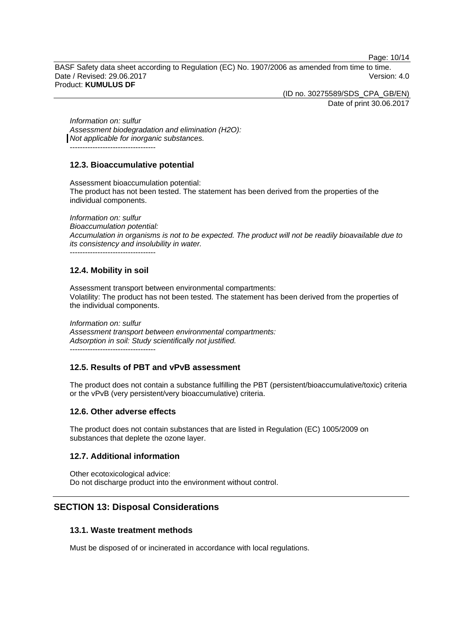Page: 10/14

BASF Safety data sheet according to Regulation (EC) No. 1907/2006 as amended from time to time. Date / Revised: 29.06.2017 **Version: 4.0** Product: **KUMULUS DF** 

(ID no. 30275589/SDS\_CPA\_GB/EN)

Date of print 30.06.2017

*Information on: sulfur Assessment biodegradation and elimination (H2O): Not applicable for inorganic substances.*  ----------------------------------

**12.3. Bioaccumulative potential** 

Assessment bioaccumulation potential: The product has not been tested. The statement has been derived from the properties of the individual components.

*Information on: sulfur Bioaccumulation potential: Accumulation in organisms is not to be expected. The product will not be readily bioavailable due to its consistency and insolubility in water.*  ----------------------------------

# **12.4. Mobility in soil**

Assessment transport between environmental compartments: Volatility: The product has not been tested. The statement has been derived from the properties of the individual components.

*Information on: sulfur Assessment transport between environmental compartments: Adsorption in soil: Study scientifically not justified.*  ----------------------------------

# **12.5. Results of PBT and vPvB assessment**

The product does not contain a substance fulfilling the PBT (persistent/bioaccumulative/toxic) criteria or the vPvB (very persistent/very bioaccumulative) criteria.

# **12.6. Other adverse effects**

The product does not contain substances that are listed in Regulation (EC) 1005/2009 on substances that deplete the ozone layer.

# **12.7. Additional information**

Other ecotoxicological advice: Do not discharge product into the environment without control.

# **SECTION 13: Disposal Considerations**

# **13.1. Waste treatment methods**

Must be disposed of or incinerated in accordance with local regulations.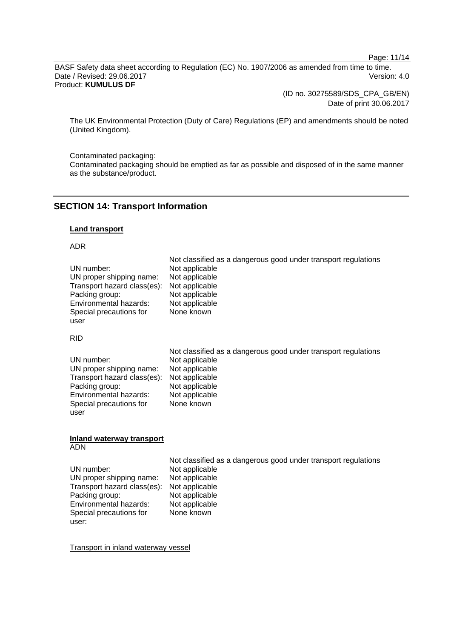Page: 11/14

BASF Safety data sheet according to Regulation (EC) No. 1907/2006 as amended from time to time. Date / Revised: 29.06.2017 Version: 4.0 Product: **KUMULUS DF** 

(ID no. 30275589/SDS\_CPA\_GB/EN)

Date of print 30.06.2017

The UK Environmental Protection (Duty of Care) Regulations (EP) and amendments should be noted (United Kingdom).

Contaminated packaging:

Contaminated packaging should be emptied as far as possible and disposed of in the same manner as the substance/product.

# **SECTION 14: Transport Information**

#### **Land transport**

### ADR

|                             | Not classified as a dangerous good under transport regulations |
|-----------------------------|----------------------------------------------------------------|
| UN number:                  | Not applicable                                                 |
| UN proper shipping name:    | Not applicable                                                 |
| Transport hazard class(es): | Not applicable                                                 |
| Packing group:              | Not applicable                                                 |
| Environmental hazards:      | Not applicable                                                 |
| Special precautions for     | None known                                                     |
| user                        |                                                                |

#### RID

|                                            | Not classified as a dangerous good under transport regulations |
|--------------------------------------------|----------------------------------------------------------------|
| UN number:                                 | Not applicable                                                 |
| UN proper shipping name:                   | Not applicable                                                 |
| Transport hazard class(es): Not applicable |                                                                |
| Packing group:                             | Not applicable                                                 |
| Environmental hazards:                     | Not applicable                                                 |
| Special precautions for                    | None known                                                     |
| user                                       |                                                                |

#### **Inland waterway transport**  ADN

Not classified as a dangerous good under transport regulations<br>UN number:<br>Not applicable Not applicable<br>Not applicable UN proper shipping name: Not applicable<br>Transport hazard class(es): Not applicable  $Transport$  hazard class(es): Packing group: Not applicable Environmental hazards: Not applicable Special precautions for user: None known

Transport in inland waterway vessel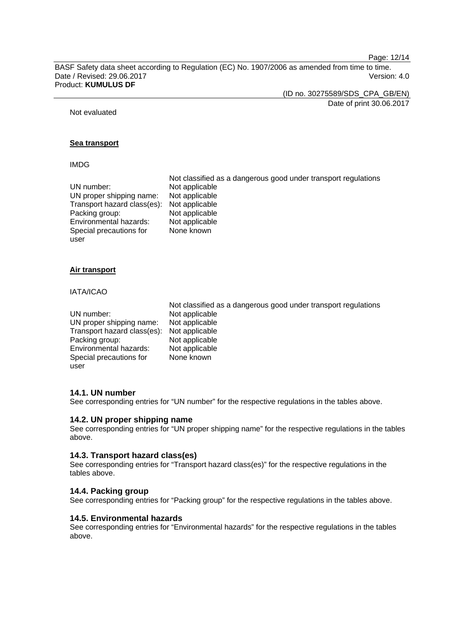Page: 12/14

BASF Safety data sheet according to Regulation (EC) No. 1907/2006 as amended from time to time. Date / Revised: 29.06.2017 Version: 4.0 Product: **KUMULUS DF** 

(ID no. 30275589/SDS\_CPA\_GB/EN)

Date of print 30.06.2017

Not evaluated

### **Sea transport**

#### IMDG

|                             | Not classified as a dangerous good under transport regulations |
|-----------------------------|----------------------------------------------------------------|
| UN number:                  | Not applicable                                                 |
| UN proper shipping name:    | Not applicable                                                 |
| Transport hazard class(es): | Not applicable                                                 |
| Packing group:              | Not applicable                                                 |
| Environmental hazards:      | Not applicable                                                 |
| Special precautions for     | None known                                                     |
| user                        |                                                                |

### **Air transport**

#### IATA/ICAO

| UN number:                                 | Not classified as a dangerous good under transport regulations |
|--------------------------------------------|----------------------------------------------------------------|
| UN proper shipping name:                   | Not applicable                                                 |
| Transport hazard class(es): Not applicable | Not applicable                                                 |
| Packing group:                             | Not applicable                                                 |
| Environmental hazards:                     | Not applicable                                                 |
| Special precautions for                    | None known                                                     |
| user                                       |                                                                |

### **14.1. UN number**

See corresponding entries for "UN number" for the respective regulations in the tables above.

### **14.2. UN proper shipping name**

See corresponding entries for "UN proper shipping name" for the respective regulations in the tables above.

### **14.3. Transport hazard class(es)**

See corresponding entries for "Transport hazard class(es)" for the respective regulations in the tables above.

#### **14.4. Packing group**

See corresponding entries for "Packing group" for the respective regulations in the tables above.

# **14.5. Environmental hazards**

See corresponding entries for "Environmental hazards" for the respective regulations in the tables above.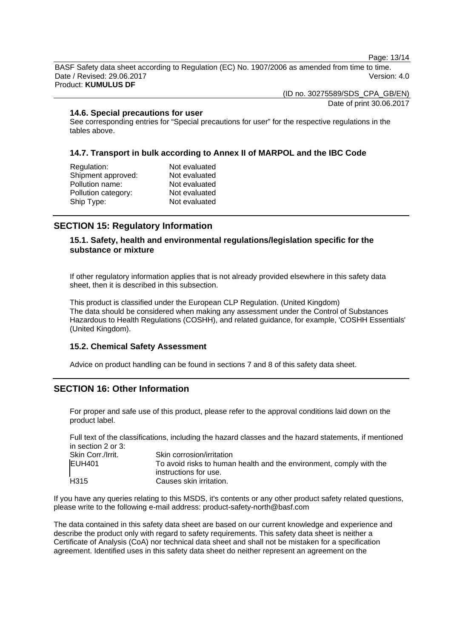Page: 13/14

BASF Safety data sheet according to Regulation (EC) No. 1907/2006 as amended from time to time. Date / Revised: 29.06.2017 **Version: 4.0** Product: **KUMULUS DF** 

(ID no. 30275589/SDS\_CPA\_GB/EN)

Date of print 30.06.2017

### **14.6. Special precautions for user**

See corresponding entries for "Special precautions for user" for the respective regulations in the tables above.

# **14.7. Transport in bulk according to Annex II of MARPOL and the IBC Code**

| Not evaluated |
|---------------|
| Not evaluated |
| Not evaluated |
| Not evaluated |
| Not evaluated |
|               |

# **SECTION 15: Regulatory Information**

# **15.1. Safety, health and environmental regulations/legislation specific for the substance or mixture**

If other regulatory information applies that is not already provided elsewhere in this safety data sheet, then it is described in this subsection.

This product is classified under the European CLP Regulation. (United Kingdom) The data should be considered when making any assessment under the Control of Substances Hazardous to Health Regulations (COSHH), and related guidance, for example, 'COSHH Essentials' (United Kingdom).

# **15.2. Chemical Safety Assessment**

Advice on product handling can be found in sections 7 and 8 of this safety data sheet.

# **SECTION 16: Other Information**

For proper and safe use of this product, please refer to the approval conditions laid down on the product label.

Full text of the classifications, including the hazard classes and the hazard statements, if mentioned in section 2 or 3:

| Skin Corr./Irrit. | Skin corrosion/irritation                                           |
|-------------------|---------------------------------------------------------------------|
| EUH401            | To avoid risks to human health and the environment, comply with the |
|                   | instructions for use.                                               |
| H315              | Causes skin irritation.                                             |

If you have any queries relating to this MSDS, it's contents or any other product safety related questions, please write to the following e-mail address: product-safety-north@basf.com

The data contained in this safety data sheet are based on our current knowledge and experience and describe the product only with regard to safety requirements. This safety data sheet is neither a Certificate of Analysis (CoA) nor technical data sheet and shall not be mistaken for a specification agreement. Identified uses in this safety data sheet do neither represent an agreement on the